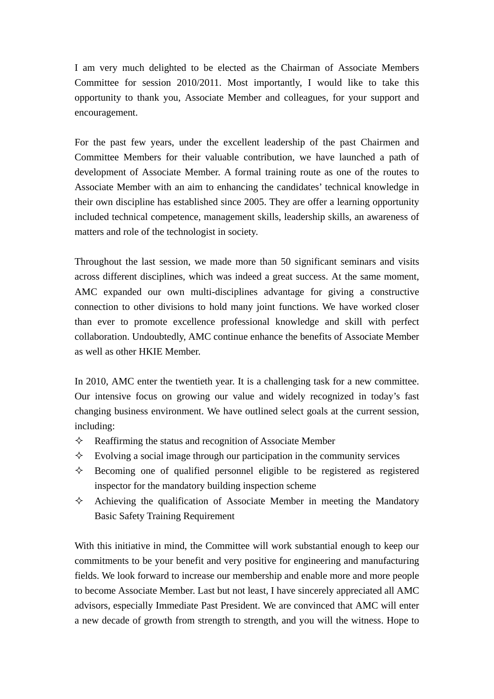I am very much delighted to be elected as the Chairman of Associate Members Committee for session 2010/2011. Most importantly, I would like to take this opportunity to thank you, Associate Member and colleagues, for your support and encouragement.

For the past few years, under the excellent leadership of the past Chairmen and Committee Members for their valuable contribution, we have launched a path of development of Associate Member. A formal training route as one of the routes to Associate Member with an aim to enhancing the candidates' technical knowledge in their own discipline has established since 2005. They are offer a learning opportunity included technical competence, management skills, leadership skills, an awareness of matters and role of the technologist in society.

Throughout the last session, we made more than 50 significant seminars and visits across different disciplines, which was indeed a great success. At the same moment, AMC expanded our own multi-disciplines advantage for giving a constructive connection to other divisions to hold many joint functions. We have worked closer than ever to promote excellence professional knowledge and skill with perfect collaboration. Undoubtedly, AMC continue enhance the benefits of Associate Member as well as other HKIE Member.

In 2010, AMC enter the twentieth year. It is a challenging task for a new committee. Our intensive focus on growing our value and widely recognized in today's fast changing business environment. We have outlined select goals at the current session, including:

- $\Diamond$  Reaffirming the status and recognition of Associate Member
- $\Diamond$  Evolving a social image through our participation in the community services
- $\Diamond$  Becoming one of qualified personnel eligible to be registered as registered inspector for the mandatory building inspection scheme
- $\Diamond$  Achieving the qualification of Associate Member in meeting the Mandatory Basic Safety Training Requirement

With this initiative in mind, the Committee will work substantial enough to keep our commitments to be your benefit and very positive for engineering and manufacturing fields. We look forward to increase our membership and enable more and more people to become Associate Member. Last but not least, I have sincerely appreciated all AMC advisors, especially Immediate Past President. We are convinced that AMC will enter a new decade of growth from strength to strength, and you will the witness. Hope to